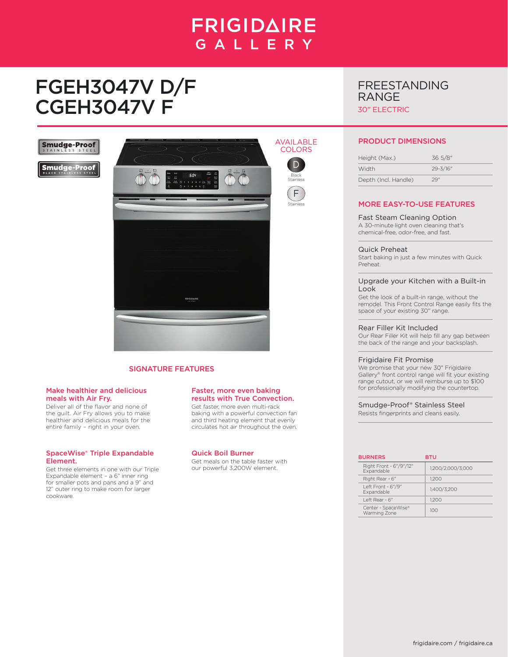## **FRIGIDAIRE** GALLERY

# FGEH3047V D/F CGEH3047V F



F Stainless

### FREESTANDING RANGE 30" ELECTRIC

**Smudge-Proof** 

**Smudge-Proof** 



#### SIGNATURE FEATURES

#### Make healthier and delicious meals with Air Fry.

Deliver all of the flavor and none of the guilt. Air Fry allows you to make healthier and delicious meals for the entire family – right in your oven.

#### SpaceWise® Triple Expandable Element.

Get three elements in one with our Triple Expandable element – a 6" inner ring for smaller pots and pans and a 9" and 12" outer ring to make room for larger cookware.

#### Faster, more even baking results with True Convection.

Get faster, more even multi-rack baking with a powerful convection fan and third heating element that evenly circulates hot air throughout the oven.

#### Quick Boil Burner

Get meals on the table faster with our powerful 3,200W element.

#### PRODUCT DIMENSIONS

| Height (Max.)        | 36 5/8"      |
|----------------------|--------------|
| Width                | $29 - 3/16"$ |
| Depth (Incl. Handle) | 29''         |

#### MORE EASY-TO-USE FEATURES

#### Fast Steam Cleaning Option

A 30-minute light oven cleaning that's chemical-free, odor-free, and fast.

#### Quick Preheat

Start baking in just a few minutes with Quick Preheat.

#### Upgrade your Kitchen with a Built-in Look

Get the look of a built-in range, without the remodel. This Front Control Range easily fits the space of your existing 30" range.

#### Rear Filler Kit Included

Our Rear Filler Kit will help fill any gap between the back of the range and your backsplash.

#### Frigidaire Fit Promise

We promise that your new 30" Frigidaire Gallery® front control range will fit your existing range cutout, or we will reimburse up to \$100 for professionally modifying the countertop.

Smudge-Proof® Stainless Steel

Resists fingerprints and cleans easily.

| <b>BURNERS</b>                        | BTU               |
|---------------------------------------|-------------------|
| Right Front - 6"/9"/12"<br>Expandable | 1.200/2.000/3.000 |
| Right Rear - 6"                       | 1.200             |
| Left Front - 6"/9"<br>Expandable      | 1.400/3.200       |
| Left Rear - 6"                        | 1200              |
| Center - SpaceWise®<br>Warming Zone   | 100               |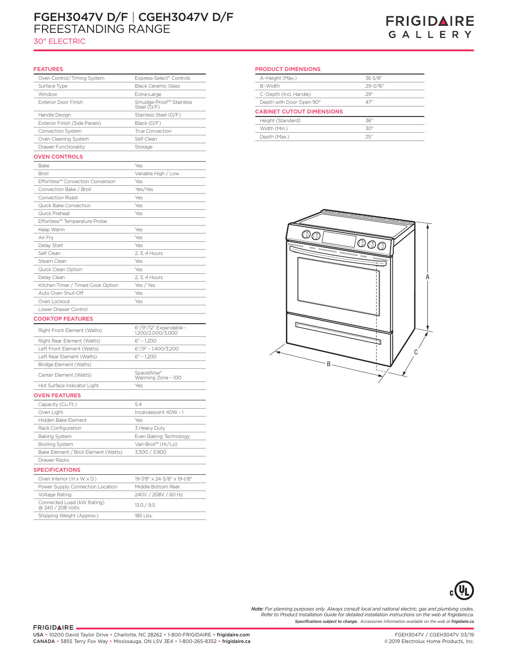### FGEH3047V D/F | CGEH3047V D/F FREESTANDING RANGE

30" ELECTRIC

### **FRIGIDAIRE** GALLERY

| <b>FEATURES</b>                              |                                             |
|----------------------------------------------|---------------------------------------------|
| Oven Control/Timing System                   | Express-Select® Controls                    |
| Surface Type                                 | <b>Black Ceramic Glass</b>                  |
| Window                                       | Extra-Large                                 |
| Exterior Door Finish                         | Smudge-Proof™ Stainless<br>Steel (D/F)      |
| Handle Design                                | Stainless Steel (D/F)                       |
| Exterior Finish (Side Panels)                | Black (D/F)                                 |
| Convection System                            | True Convection                             |
| Oven Cleaning System                         | Self Clean                                  |
| Drawer Functionality                         | Storage                                     |
| <b>OVEN CONTROLS</b>                         |                                             |
| Bake                                         | Yes                                         |
| <b>Broil</b>                                 | Variable High / Low                         |
| Effortless™ Convection Conversion            | Yes                                         |
| Convection Bake / Broil                      | Yes/Yes                                     |
| Convection Roast                             | Yes                                         |
| Quick Bake Convection                        | Yes                                         |
| Quick Preheat                                | Yes                                         |
| Effortless™ Temperature Probe                |                                             |
| Keep Warm                                    | Yes                                         |
| Air Frv                                      | Yes                                         |
| Delay Start                                  | Yes                                         |
| Self Clean                                   | 2. 3. 4 Hours                               |
| Steam Clean                                  | Yes                                         |
| Quick Clean Option                           | Yes                                         |
| Delay Clean                                  | 2. 3. 4 Hours                               |
| Kitchen Timer / Timed Cook Option            | Yes / Yes                                   |
| Auto Oven Shut-Off                           | Yes                                         |
| Oven Lockout                                 | Yes                                         |
| Lower Drawer Control                         |                                             |
| <b>COOKTOP FEATURES</b>                      |                                             |
| Right Front Element (Watts)                  | 6"/9"/12" Expandable -<br>1,200/2,000/3,000 |
| Right Rear Element (Watts)                   | $6" - 1,200$                                |
| Left Front Element (Watts)                   | 6"/9" - 1,400/3,200                         |
| Left Rear Element (Watts)                    | $6" - 1,200$                                |
| Bridge Element (Watts)                       |                                             |
| Center Element (Watts)                       | SpaceWise®<br>Warming Zone - 100            |
| Hot Surface Indicator Light                  | Yes                                         |
| <b>OVEN FEATURES</b>                         |                                             |
| Capacity (Cu.Ft.)                            | 5.4                                         |
| Oven Light                                   | Incandescent 40W - 1                        |
| Hidden Bake Element                          | Yes                                         |
| Rack Configuration                           | 3 Heavy Duty                                |
| <b>Baking System</b>                         | Even Baking Technology                      |
| <b>Broiling System</b>                       | Vari-Broil™ (Hi/Lo)                         |
| Bake Element / Broil Element (Watts)         | 3,500 / 3,900                               |
| Drawer Racks                                 |                                             |
| <b>SPECIFICATIONS</b>                        |                                             |
|                                              |                                             |
| Oven Interior (H x W x D)                    | 19-7/8" x 24-3/8" x 19-1/8"                 |
| Power Supply Connection Location             | Middle Bottom Rear                          |
| Voltage Rating<br>Connected Load (kW Rating) | 240V / 208V / 60 Hz<br>13.0 / 9.5           |
| @ 240 / 208 Volts                            |                                             |
| Shipping Weight (Approx.)                    | 185 Lbs.                                    |

#### PRODUCT DIMENSIONS

| 36 5/8"  |
|----------|
| 29-3/16" |
| 29"      |
| 47"      |
|          |
| 36"      |
|          |
| 30"      |
|          |





**Note:** For planning purposes only. Always consult local and national electric, gas and plumbing codes.<br>Refer to Product Installation Guide for detailed installation instructions on the web at frigidaire.ca. *Specifications subject to change. Accessories information available on the web at frigidaire.ca*